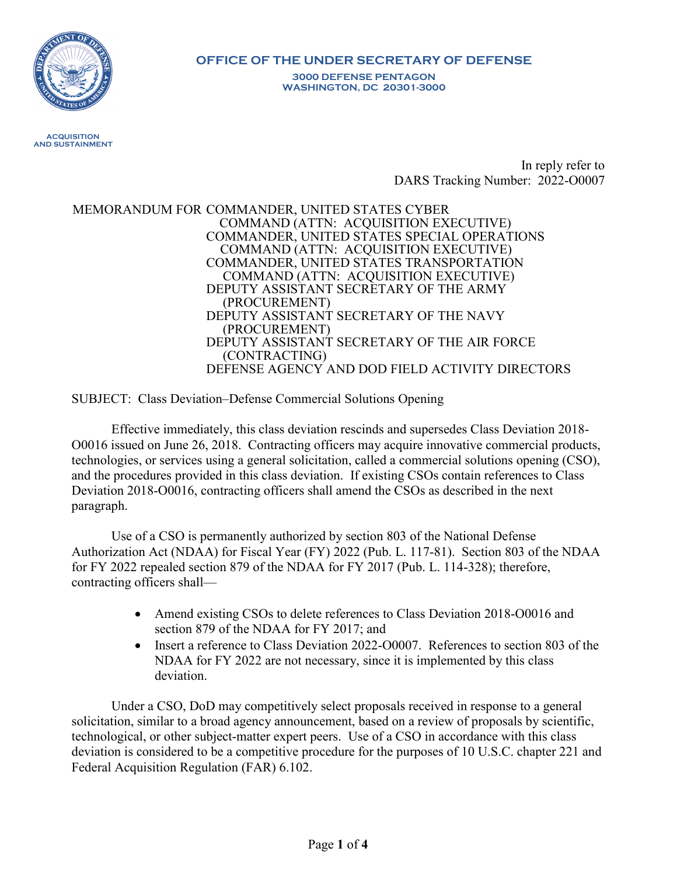

## **OFFICE OF THE UNDER SECRETARY OF DEFENSE**

**3000 DEFENSE PENTAGON WASHINGTON, DC 20301-3000**

 **ACQUISITION AND SUSTAINMENT**

> In reply refer to DARS Tracking Number: 2022-O0007

MEMORANDUM FOR COMMANDER, UNITED STATES CYBER COMMAND (ATTN: ACQUISITION EXECUTIVE) COMMANDER, UNITED STATES SPECIAL OPERATIONS COMMAND (ATTN: ACQUISITION EXECUTIVE) COMMANDER, UNITED STATES TRANSPORTATION COMMAND (ATTN: ACQUISITION EXECUTIVE) DEPUTY ASSISTANT SECRETARY OF THE ARMY (PROCUREMENT) DEPUTY ASSISTANT SECRETARY OF THE NAVY (PROCUREMENT) DEPUTY ASSISTANT SECRETARY OF THE AIR FORCE (CONTRACTING) DEFENSE AGENCY AND DOD FIELD ACTIVITY DIRECTORS

SUBJECT: Class Deviation–Defense Commercial Solutions Opening

Effective immediately, this class deviation rescinds and supersedes Class Deviation 2018- O0016 issued on June 26, 2018. Contracting officers may acquire innovative commercial products, technologies, or services using a general solicitation, called a commercial solutions opening (CSO), and the procedures provided in this class deviation. If existing CSOs contain references to Class Deviation 2018-O0016, contracting officers shall amend the CSOs as described in the next paragraph.

Use of a CSO is permanently authorized by section 803 of the National Defense Authorization Act (NDAA) for Fiscal Year (FY) 2022 (Pub. L. 117-81). Section 803 of the NDAA for FY 2022 repealed section 879 of the NDAA for FY 2017 (Pub. L. 114-328); therefore, contracting officers shall—

- Amend existing CSOs to delete references to Class Deviation 2018-00016 and section 879 of the NDAA for FY 2017; and
- Insert a reference to Class Deviation 2022-O0007. References to section 803 of the NDAA for FY 2022 are not necessary, since it is implemented by this class deviation.

Under a CSO, DoD may competitively select proposals received in response to a general solicitation, similar to a broad agency announcement, based on a review of proposals by scientific, technological, or other subject-matter expert peers. Use of a CSO in accordance with this class deviation is considered to be a competitive procedure for the purposes of 10 U.S.C. chapter 221 and Federal Acquisition Regulation (FAR) 6.102.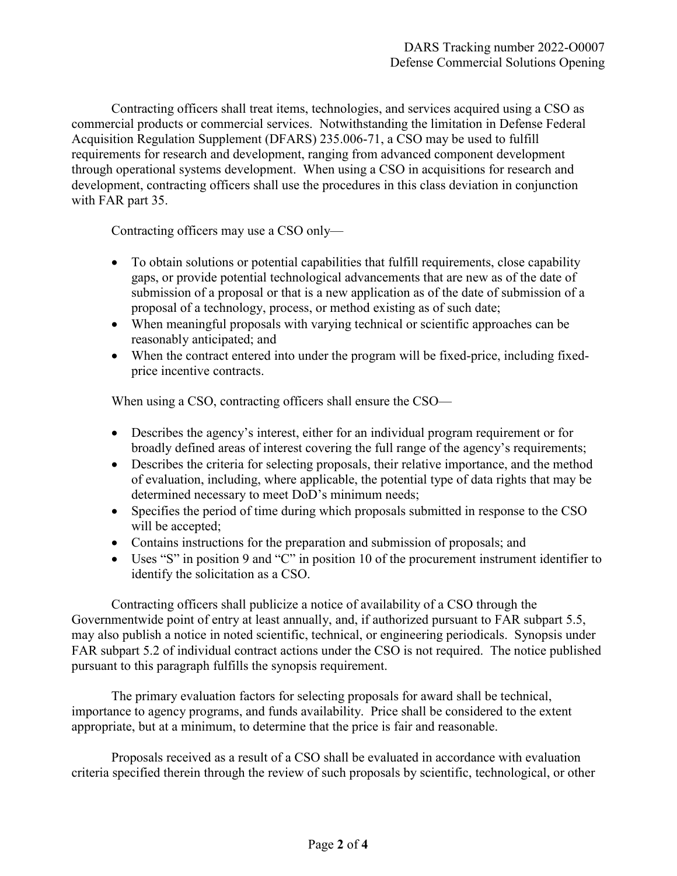Contracting officers shall treat items, technologies, and services acquired using a CSO as commercial products or commercial services. Notwithstanding the limitation in Defense Federal Acquisition Regulation Supplement (DFARS) 235.006-71, a CSO may be used to fulfill requirements for research and development, ranging from advanced component development through operational systems development. When using a CSO in acquisitions for research and development, contracting officers shall use the procedures in this class deviation in conjunction with FAR part 35.

Contracting officers may use a CSO only—

- To obtain solutions or potential capabilities that fulfill requirements, close capability gaps, or provide potential technological advancements that are new as of the date of submission of a proposal or that is a new application as of the date of submission of a proposal of a technology, process, or method existing as of such date;
- When meaningful proposals with varying technical or scientific approaches can be reasonably anticipated; and
- When the contract entered into under the program will be fixed-price, including fixedprice incentive contracts.

When using a CSO, contracting officers shall ensure the CSO—

- Describes the agency's interest, either for an individual program requirement or for broadly defined areas of interest covering the full range of the agency's requirements;
- Describes the criteria for selecting proposals, their relative importance, and the method of evaluation, including, where applicable, the potential type of data rights that may be determined necessary to meet DoD's minimum needs;
- Specifies the period of time during which proposals submitted in response to the CSO will be accepted;
- Contains instructions for the preparation and submission of proposals; and
- Uses "S" in position 9 and "C" in position 10 of the procurement instrument identifier to identify the solicitation as a CSO.

Contracting officers shall publicize a notice of availability of a CSO through the Governmentwide point of entry at least annually, and, if authorized pursuant to FAR subpart 5.5, may also publish a notice in noted scientific, technical, or engineering periodicals. Synopsis under FAR subpart 5.2 of individual contract actions under the CSO is not required. The notice published pursuant to this paragraph fulfills the synopsis requirement.

The primary evaluation factors for selecting proposals for award shall be technical, importance to agency programs, and funds availability. Price shall be considered to the extent appropriate, but at a minimum, to determine that the price is fair and reasonable.

Proposals received as a result of a CSO shall be evaluated in accordance with evaluation criteria specified therein through the review of such proposals by scientific, technological, or other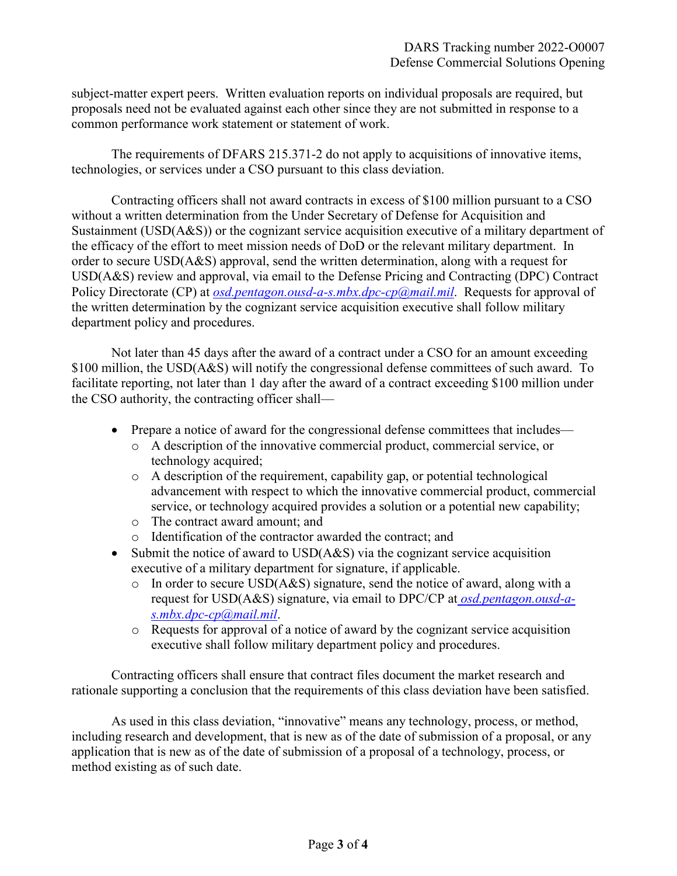subject-matter expert peers. Written evaluation reports on individual proposals are required, but proposals need not be evaluated against each other since they are not submitted in response to a common performance work statement or statement of work.

The requirements of DFARS 215.371-2 do not apply to acquisitions of innovative items, technologies, or services under a CSO pursuant to this class deviation.

Contracting officers shall not award contracts in excess of \$100 million pursuant to a CSO without a written determination from the Under Secretary of Defense for Acquisition and Sustainment (USD(A&S)) or the cognizant service acquisition executive of a military department of the efficacy of the effort to meet mission needs of DoD or the relevant military department. In order to secure USD(A&S) approval, send the written determination, along with a request for USD(A&S) review and approval, via email to the Defense Pricing and Contracting (DPC) Contract Policy Directorate (CP) at *[osd.pentagon.ousd-a-s.mbx.dpc-cp@mail.mil](mailto:osd.pentagon.ousd-a-s.mbx.dpc-cp@mail.mil)*. Requests for approval of the written determination by the cognizant service acquisition executive shall follow military department policy and procedures.

Not later than 45 days after the award of a contract under a CSO for an amount exceeding \$100 million, the USD(A&S) will notify the congressional defense committees of such award. To facilitate reporting, not later than 1 day after the award of a contract exceeding \$100 million under the CSO authority, the contracting officer shall—

- Prepare a notice of award for the congressional defense committees that includes
	- o A description of the innovative commercial product, commercial service, or technology acquired;
	- o A description of the requirement, capability gap, or potential technological advancement with respect to which the innovative commercial product, commercial service, or technology acquired provides a solution or a potential new capability;
	- o The contract award amount; and
	- o Identification of the contractor awarded the contract; and
- Submit the notice of award to USD(A&S) via the cognizant service acquisition executive of a military department for signature, if applicable.
	- o In order to secure USD(A&S) signature, send the notice of award, along with a request for USD(A&S) signature, via email to DPC/CP at *[osd.pentagon.ousd-a](mailto:osd.pentagon.ousd-a-s.mbx.dpc-cp@mail.mil)[s.mbx.dpc-cp@mail.mil](mailto:osd.pentagon.ousd-a-s.mbx.dpc-cp@mail.mil)*.
	- o Requests for approval of a notice of award by the cognizant service acquisition executive shall follow military department policy and procedures.

Contracting officers shall ensure that contract files document the market research and rationale supporting a conclusion that the requirements of this class deviation have been satisfied.

As used in this class deviation, "innovative" means any technology, process, or method, including research and development, that is new as of the date of submission of a proposal, or any application that is new as of the date of submission of a proposal of a technology, process, or method existing as of such date.